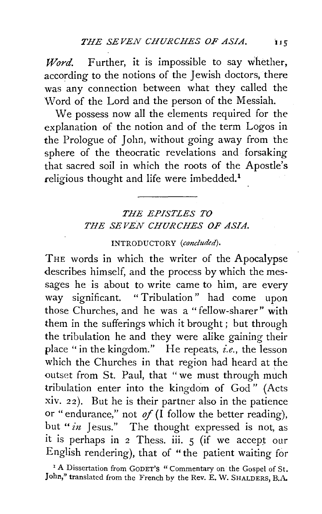*Word.* Further, it is impossible to say whether, according to the notions of the Jewish doctors, there was any connection between what they called the Word of the Lord and the person of the Messiah.

We possess now all the elements required for the explanation of the notion and of the term Logos in the Prologue of John, without going away from the sphere of the theocratic revelations and forsaking that sacred soil in which the roots of the Apostle's religious thought and life were imbedded.<sup>1</sup>

## *THE EPISTLES TO THE SEVEN CHURCHES OF ASIA.*

## INTRODUCTORY *(concluded).*

THE words in which the writer of the Apocalypse describes himself, and the process by which the messages he is about to write came to him, are every way significant. "Tribulation" had come upon those Churches, and he was a "fellow-sharer" with them in the sufferings which it brought; but through the tribulation he and they were alike gaining their place "in the kingdom." He repeats, *i.e.,* the lesson which the Churches in that region had heard at the outset from St. Paul, that "we must through much tribulation enter into the kingdom of God" (Acts xiv. 22). But he is their partner also in the patience or "endurance," not  $of (I)$  follow the better reading), but *"in* Jesus." The thought expressed is not, as it is perhaps in 2 Thess. iii. 5 (if we accept our English rendering), that of "the patient waiting for

<sup>1</sup> A Dissertation from GODET'S " Commentary on the Gospel of St. John," translated from the French by the Rev. E. W. SHALDERS, B.A.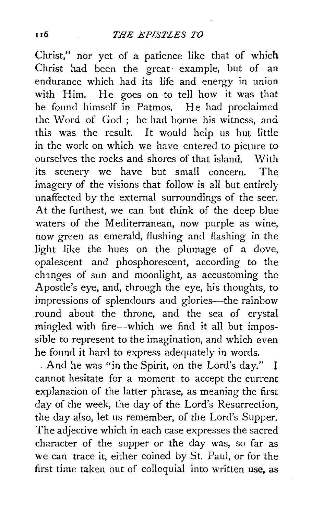Christ," nor yet of a patience like that of which Christ had been the great· example, but of an endurance which had its life and energy in union with Him. He goes on to tell how it was that he found himself in Patmos. *He* had proclaimed the Word of God; he had borne his witness, and this was the result. It would help us but little in the work on which we have entered to picture to ourselves the rocks and shores of that island. With its scenery we have but small concern. The imagery of the visions that follow is all but entirely unaffected by the external surroundings of the seer. At the furthest, we can but think of the deep blue waters of the Mediterranean, now purple as wine, now green as emerald, flushing and flashing in the light like the hues on the plumage of a dove, opalescent and phosphorescent, according to the changes of sun and moonlight, as accustoming the Apostle's eye, and, through the eye, his thoughts, to impressions of splendours and glories-the rainbow round about the throne, and the sea of crystal mingled with fire-which we find it all but impossible to represent to the imagination, and which even he found it hard to express adequately in words.

. And he was "in the Spirit, on the Lord's day." I cannot hesitate for a moment to accept the current explanation of the latter phrase, as meaning the first day of the week, the day of the Lord's Resurrection, the day also, let us remember, of the Lord's Supper. The adjective which in each case expresses the sacred character of the supper or the day was, so far as *we* can trace it, either coined by St. Paul, or for the first time taken out of colloquial into written use, as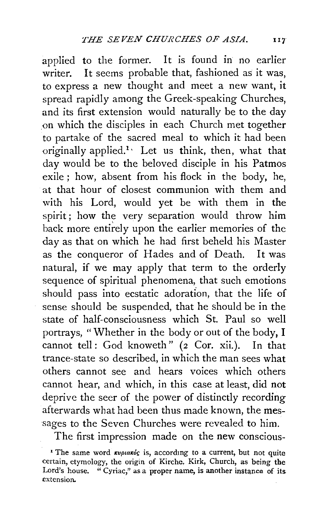applied to the former. It is found in no earlier writer. It seems probable that, fashioned as it was, to express a new thought and meet a new want, it spread rapidly among the Greek-speaking Churches, and its first extension would naturally be to the day on which the disciples in each Church met together to partake of the sacred meal to which it had been originally applied.<sup>1</sup>. Let us think, then, what that day would be to the beloved disciple in his Patmos exile ; how, absent from his flock in the body, he, at that hour of closest communion with them and with his Lord, would yet be with them in the spirit; how the very separation would throw him back more entirely upon the earlier memories of the day as that on which he had first beheld his Master as the conqueror of Hades and of Death. It was natural, if we may apply that term to the orderly sequence of spiritual phenomena, that such emotions should pass into ecstatic adoration, that the life of sense should be suspended, that he should be in the state of half-consciousness which St. Paul so well portrays, "Whether in the body or out of the body, I cannot tell: God knoweth" (2 Cor. xii.). In that trance-state so described, in which the man sees what others cannot see and hears voices which others cannot hear, and which, in this case at least, did not deprive the seer of the power of distinctly recording afterwards what had been thus made known, the messages to the Seven Churches were revealed to him.

The first impression made on the new conscious-

<sup>&</sup>lt;sup>1</sup> The same word *ruptaring* is, according to a current, but not quite certain, etymology, the origin of Kirche, Kirk, Church, as being the Lord's house. " Cyriac," as a proper name, is another instance of its. extension.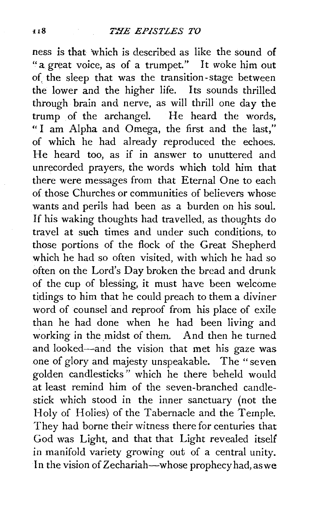ness is that which is described as like the sound of "a great voice, as of a trumpet." It *woke* him out of. the sleep that was the transition-stage between the lower and the higher life. Its sounds thrilled through brain and nerve, as will thrill one day the trump of the archangel. He heard the words, "I am Alpha and Omega, the first and the last," of which he had already reproduced the echoes. He heard too, as if in answer to unuttered and unrecorded prayers, the words which told him that there were messages from that Eternal One to each of those Churches or communities of believers whose wants and perils had been as a burden on his soul. If his waking thoughts had travelled, as thoughts do travel at such times and under such conditions, to those portions of the flock of the Great Shepherd which he had so often visited, with which he had so often on the Lord's Day broken the bread and drunk of the cup of blessing, it must have been welcome tidings to him that he could preach to them a diviner word of counsel and reproof from his place of exile than he had done when he had been living and working in the midst of them. And then he turned and looked-and the vision that met his gaze was one of glory and majesty unspeakable. The "seven golden candlesticks " which he there beheld would at least remind him of the seven-branched candlestick which stood in the inner sanctuary (not the Holy of Holies) of the Tabernacle and the Temple. They had borne their witness there for centuries that God was Light, and that that Light revealed itself in manifold variety growing out of a central unity. In the vision of Zechariah-whose prophecy had, as we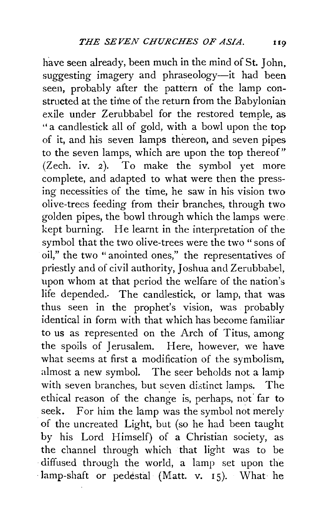have seen already, been much in the mind of St. John, suggesting imagery and phraseology-it had been seen, probably after the pattern of the lamp constructed at the time of the return from the Babylonian exile under Zerubbabel for the restored temple, as "a candlestick all of gold, with a bowl upon the top of it, and his seven lamps thereon, and seven pipes to the seven lamps, which are upon the top thereof"  $(Zech. iv. 2)$ . To make the symbol yet more complete, and adapted to what were then the pressing necessities of the time, he saw in his vision two olive-trees feeding from their branches, through two golden pipes, the bowl through which the lamps were kept burning. He learnt in the interpretation of the symbol that the two olive-trees were the two" sons of oil," the two "anointed ones," the representatives of priestly and of civil authority, Joshua and Zerubbabel, upon whom at that period the welfare of the nation's life depended.. The candlestick, or lamp, that was thus seen in the prophet's vision, was probably identical in form with that which has become familiar to us as represented on the Arch of Titus, among the spoils of Jerusalem. Here, however, we have what seems at first a modification of the symbolism, almost a new symbol. The seer beholds not a lamp with seven branches, but seven distinct lamps. The ethical reason of the change is, perhaps, not far to seek. For him the lamp was the symbol not merely of the uncreated Light, but (so he had been taught by his Lord Himself) of a Christian society, as the channel through which that light was to be diffused through the world, a lamp set upon the lamp-shaft or pedestal (Matt. v.  $15$ ). What he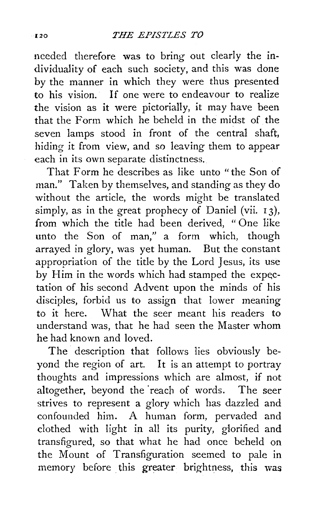needed therefore was to bring out clearly the **in**dividuality of each such society, and this was done by the manner in which they were thus presented to his vision. If one were to endeavour to realize the vision as it were pictorially, it may have been that the Form which he beheld in the midst of the seven lamps stood in front of the central shaft, hiding it from view, and so leaving them to appear each in its own separate distinctness.

That Form he describes as like unto "the Son of man." Taken by themselves, and standing as they do without the article, the words might be translated simply, as in the great prophecy of Daniel (vii.  $13$ ), from which the title had been derived, " One like unto the Son of man," a form which, though arrayed in glory, was yet human. But the constant appropriation of the title by the Lord Jesus, its use by Him in the words which had stamped the expectation of his second Advent upon the minds of his disciples, forbid us to assign that lower meaning to it here. What the seer meant his readers to understand was, that he had seen the Master whom he had known and loved.

The description that follows lies obviously beyond the region of art. It is an attempt to portray thoughts and impressions which are almost, if not altogether, beyond the "reach of words. The seer strives to represent a glory which has dazzled and confounded him. A human form, pervaded and clothed with light in all its purity, glorified and transfigured, so that what he had once beheld on the Mount of Transfiguration seemed to pale **in**  memory before this greater brightness, this was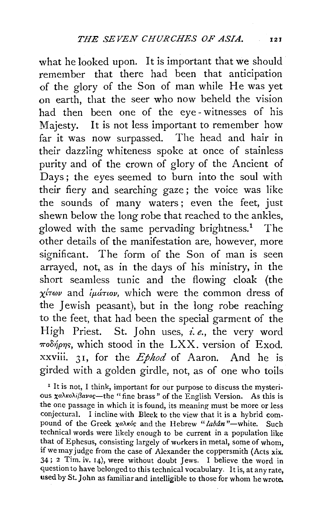what he looked upon. It is important that we should remember that there had been that anticipation of the glory of the Son of man while He was yet on earth, that the seer who now beheld the vision had then been one of the eye- witnesses of his Majesty. It is not less important to remember how far it was now surpassed. The head and hair in their dazzling whiteness spoke at once of stainless purity and of the crown of glory of the Ancient of Days ; the eyes seemed to burn into the soul with their fiery and searching gaze ; the voice was like the sounds of many waters ; even the feet, just shewn below the long robe that reached to the ankles, glowed with the same pervading brightness.<sup>1</sup> The other details of the manifestation are, however, more significant. The form of the Son of man is seen arrayed, not, as in the days of his ministry, in the short seamless tunic and the flowing cloak (the  $\chi$ *trwv* and *iµáriov*, which were the common dress of the Jewish peasant), but in the long robe reaching to the feet, that had been the special garment of the High Priest. St. John uses, *i.e.,* the very word  $\pi$ oo $\gamma$ <sub>p</sub>rs, which stood in the LXX. version of Exod. xxviii. 3 r, for the *Ephod* of Aaron. And he is girded with a golden girdle, not, as of one who toils

<sup>1</sup> It is not, I think, important for our purpose to discuss the mysterious  $\chi$ a $\lambda$ Ko $\lambda$ <sub>i</sub> $\beta$ avoc-the "fine brass" of the English Version. As this is the one passage in which it is found, its meaning must be more or less conjectural. I incline with Bleek to the view that it is a hybrid compound of the Greek  $\chi$ a $\lambda$ rós and the Hebrew "*labân*"-white. Such technical words were likely enough to be current in a population like that of Ephesus, consisting largely of workers in metal, some of whom, if we may judge from the case of Alexander the coppersmith (Acts xix. 34; 2 Tim. iv. 14), were without doubt Jews. I believe the word in question to have belonged to this technical vocabulary. It is, at any rate, used by St. John as familiar and intelligible to those for whom he wrote,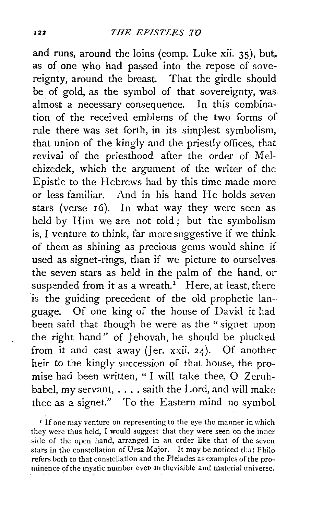and runs, around the loins (comp. Luke xii.  $35$ ), but, as of one who had passed into the repose of sovereignty, around the breast. That the girdle should be of gold, as the symbol of that sovereignty, was almost a necessary consequence. In this combination of the received emblems of the two forms of rule there was set forth, in its simplest symbolism, that union of the kingly and the priestly offices, that revival of the priesthood after the order of Melchizedek, which the argument of the writer of the Epistle to the Hebrews had by this time made more or less familiar. And in his hand He holds seven stars (verse 16). In what way they were seen as held by Him we are not told ; but the symbolism is, I venture to think, far more suggestive if we think of them as shining as precious gems would shine if used as signet-rings, than if we picture to ourselves the seven stars as held in the palm of the hand, or suspended from it as a wreath.<sup>1</sup> Here, at least, there is the guiding precedent of the old prophetic language. Of one king of the house of David it had been said that though he were as the " signet upon the right hand" of Jehovah, he should be plucked from it and cast away (Jer.  $xxii$ . 24). Of another heir to the kingly succession of that house, the promise had been written, " I will take thee, 0 Zerubbabel, my servant, .... saith the Lord, and will make thee as a signet." To the Eastern mind no symbol

<sup>1</sup> If one may venture on representing to the eye the manner in which they were thus held, I would suggest that they were seen on the inner side of the open hand, arranged in an order like that of the seven stars in the constellation of Ursa Major. It may be noticed that Philo refers both to that constellation and the Pleiades as examples of the prominence of the mystic number even in thevisible and material universe.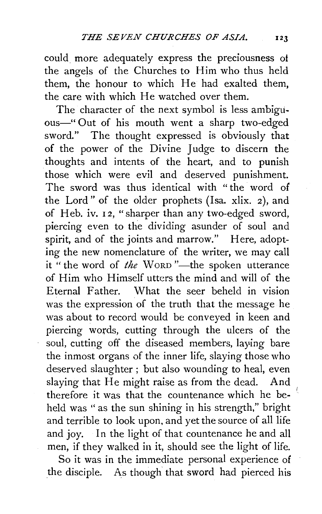could more adequately express the preciousness of the angels of the Churches to Him who thus held them, the honour to which He had exalted them, the care with which He watched over them.

The character of the next symbol is less ambiguous-" Out of his mouth went a sharp two-edged sword." The thought expressed is obviously that of the power of the Divine Judge to discern the thoughts and intents of the heart, and to punish those which were evil and deserved punishment. The sword was thus identical with "the word of the Lord" of the older prophets (Isa. xlix. 2), and of Heb. iv. 12, "sharper than any two-edged sword, piercing even to the dividing asunder of soul and spirit, and of the joints and marrow." Here, adopting the new nomenclature of the writer, we may call it " the word of *the* WORD "---the spoken utterance of Him who Himself utters the mind and will of the Eternal Father. What the seer beheld in vision was the expression of the truth that the message he was about to record would be conveyed in keen and piercing words, cutting through the ulcers of the soul, cutting off the diseased members, laying bare the inmost organs of the inner life, slaying those who deserved slaughter ; but also wounding to heal, even slaying that He might raise as from the dead. And therefore it was that the countenance which he beheld was " as the sun shining in his strength," bright and terrible to look upon, and yet the source of all life and joy. In the light of that countenance he and all men, if they walked in it, should see the light of life.

So it was in the immediate personal experience of the disciple. As though that sword had pierced his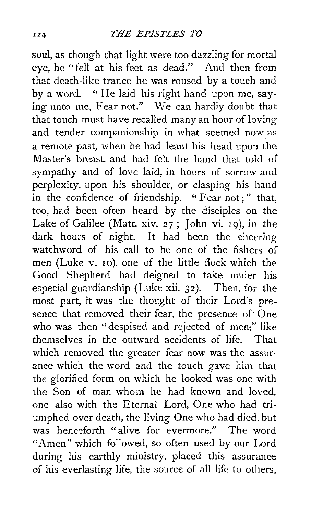soul, as though that light were too dazzling for mortal eye, he "fell at his feet as dead." And then from that death-like trance he was roused by a touch and by a word. " He laid his right hand upon me, saying unto me, Fear not." We can hardly doubt that that touch must have recalled many an hour of loving and tender companionship in what seemed now as a remote past, when he had leant his head upon the Master's breast, and had felt the hand that told of sympathy and of love laid, in hours of sorrow and perplexity, upon his shoulder, or clasping his hand in the confidence of friendship. " Fear not;" that, too, had been often heard by the disciples on the Lake of Galilee (Matt. xiv. 27; John vi. 19), in the dark hours of night. It had been the cheering watchword of his call to be one of the fishers of men (Luke v. 10), one of the little flock which the Good Shepherd had deigned to take under his especial guardianship (Luke xii. 32). Then, for the most part, it was the thought of their Lord's presence that removed their fear, the presence of One who was then "despised and rejected of men;" like themselves in the outward accidents of life. That which removed the greater fear now was the assurance which the word and the touch gave him that the glorified form on which he looked was one with the Son of man whom he had known and loved, one also with the Eternal Lord, One who had triumphed over death, the living One who had died, but was henceforth "alive for evermore." The word "Amen" which followed, so often used by our Lord during his earthly ministry, placed this assurance of his everlasting life, the source of all life to others,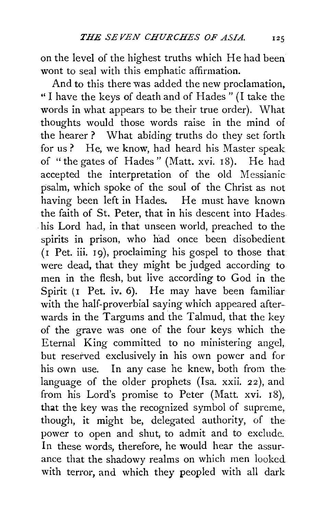on the level of the highest truths which He had been wont to seal with this emphatic affirmation.

And to this there was added the new proclamation, " I have the keys of death and of Hades " (I take the words in what appears to be their true order). What thoughts would those words raise in the mind of the hearer ? What abiding truths do they set forth for us ? He, we know, had heard his Master speak of "the gates of Hades" (Matt. xvi. 18). He had accepted the interpretation of the old Messianic psalm, which spoke of the soul of the Christ as not having been left in Hades. He must have known the faith of St. Peter, that in his descent into Hades his Lord had, in that unseen world, preached to the spirits in prison, who had once been disobedient  $(I$  Pet. iii.  $I$ 9), proclaiming his gospel to those that were dead, that they might be judged according to men in the flesh, but live according to God in the Spirit (I Pet. iv. 6). He may have been familiar with the half-proverbial saying which appeared afterwards in the Targums and the Talmud, that the key of the grave was one of the four keys which the Eternal King committed to no ministering angel, but reserved exclusively in his own power and for his own use. In any case he knew, both from the language of the older prophets (Isa. xxii. 22), and from his Lord's promise to Peter (Matt. xvi. I8), that the key was the recognized symbol of supreme, though, it might be, delegated authority, of the power to open and shut, to admit and to exclude. In these words, therefore, he would hear the assurance that the shadowy realms on which men looked with terror, and which they peopled with all dark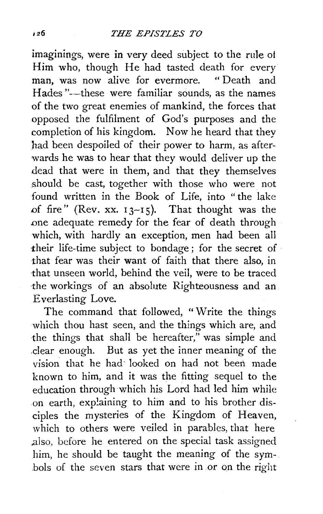imaginings, were in very deed subject to the rule ot Him who, though He had tasted death for every man, was now alive for evermore. Hades "--these were familiar sounds, as the names of the two great enemies of mankind, the forces that opposed the fulfilment of God's purposes and the completion of his kingdom. Now he heard that they had been despoiled of their power to harm, as afterwards he was to hear that they would deliver up the dead that were in them, and that they themselves should be cast, together with those who were not found written in the Book of Life, into "the lake of fire" (Rev. xx.  $13-15$ ). That thought was the one adequate remedy for the fear of death through which, with hardly an exception, men had been all their life-time subject to bondage ; for the secret of that fear was their want of faith that there also, in that unseen world, behind the veil, were to be traced the workings of an absolute Righteousness and an Everlasting Love.

The command that followed, " Write the things which thou hast seen, and the things which are, and the things that shall be hereafter," was simple and .clear enough. But as yet the inner meaning of the vision that he had· looked on had not been made known to him, and it was the fitting sequel to the education through which his Lord had led him while on earth, explaining to him and to his brother disciples the mysteries of the Kingdom of Heaven, which to others were veiled in parables, that here .also, before he entered on the special task assigned him, he should be taught the meaning of the symbols of the seven stars that were in or on the right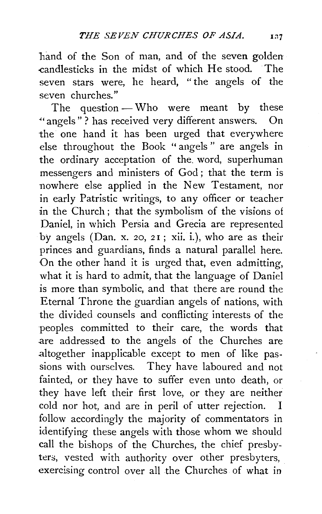hand of the Son of man, and of the seven golden -candlesticks in the midst of which He stood. The seven stars were, he heard, "the angels of the seven churches."

The question - Who were meant by these ·"angels"? has received very different answers. On the one hand it has been urged that everywhere else throughout the Book " angels " are angels in the ordinary acceptation of the. word, superhuman messengers and ministers of God ; that the term is nowhere else applied in the New Testament, nor in early Patristic writings, to any officer or teacher in the Church; that the symbolism of the visions of Daniel, in which Persia and Grecia are represented by angels (Dan. x. 20, 21; xii. i.), who are as their princes and guardians, finds a natural parallel here. On the other hand it is urged that, even admitting, what it is hard to admit, that the language of Daniel *is* more than symbolic, and that there are round the Eternal Throne the guardian angels of nations, with the divided counsels and conflicting interests of the peoples committed to their care, the words that are addressed to the angels of the Churches are altogether inapplicable except to men of like passions with ourselves. They have laboured and not fainted, or they have to suffer even unto death, or they have left their first love, or they are neither cold nor hot, and are in peril of utter rejection. I follow accordingly the majority of commentators in identifying these angels with those whom we should call the bishops of the Churches, the chief presbyters, vested with authority over other presbyters, exercising control over all the Churches of what in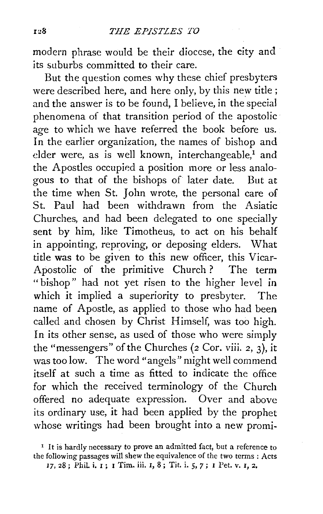modern phrase would be their diocese, the city and its suburbs committed to their care.

But the question comes why these chief presbyters were described here, and here only, by this new title; and the answer is to be found, I believe, in the special phenomena of that transition period of the apostolic age to which we have referred the book before us. In the earlier organization, the names of bishop and elder were, as is well known, interchangeable, $<sup>1</sup>$  and</sup> the Apostles occupied a position more or less analogous to that of the bishops of later date. But at the time when St. John wrote, the personal care of St. Paul had been withdrawn from the Asiatic Churches, and had been delegated to one specially sent by him, like Timotheus, to act on his behalf in appointing, reproving, or deposing elders. What title was to be given to this new officer, this Vicar-Apostolic of the primitive Church ? The term "bishop" had not yet risen to the higher level in which it implied a superiority to presbyter. The name of Apostle, as applied to those who had been called .and chosen by Christ Himself, was too high. In its other sense, as used of those who were simply the "messengers" of the Churches (2 Cor. viii. 2, 3), it was too low. The word "angels" might well commend itself at such a time as fitted to indicate the office for which the received terminology of the Church offered no adequate expression. Over and above its ordinary use, it had been applied by the prophet whose writings had been brought into a new promi-

17, 28; Phil. i. I; I Tim. iii. I, 8; Tit. i. 5, 7; I Pet. v. I, 2.

<sup>&</sup>lt;sup>1</sup> It is hardly necessary to prove an admitted fact, but a reference to the following passages will shew the equivalence of the two terms : Acts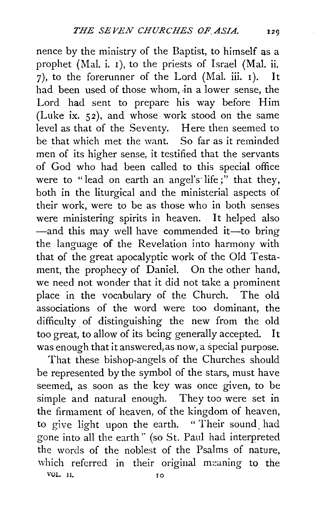nence by the ministry of the Baptist, to himself as a prophet (Mal. i. 1), to the priests of Israel (Mal. ii. 7), to the forerunner of the Lord (Mal. iii. 1). It  $h$ <sub>h</sub>ad been used of those whom, in a lower sense, the Lord had sent to prepare his way before Him (Luke ix. 52), and whose work stood on the same level as that of the Seventy. Here then seemed to be that which met the want. So far as it reminded men of its higher sense, it testified that the servants of God who had been called to this special office were to "lead on earth an angel's' life;" that they, both in the liturgical and the ministerial aspects of their work, were to be as those who in both senses were ministering spirits in heaven. It helped also -and this may well have commended it-to bring the language of the Revelation into harmony with that of the great apocalyptic work of the Old Testament, the prophecy of Daniel. On the other hand, we need not wonder that it did not take a prominent place in the vocabulary of the Church. The old associations of the word were too dominant, the difficulty of distinguishing the new from the old too great, to allow of its being generally accepted. It was enough that it answered, as now, a special purpose.

That these bishop-angels of the Churches should be represented by the symbol of the stars, must have seemed, as soon as the key was once given, to be simple and natural enough. They too were set in the firmament of heaven, of the kingdom of heaven, to give light upon the earth. " Their sound. had gone into all the earth" (so St. Paul had interpreted the words of the noblest of the Psalms of nature, which referred in their original meaning to the VOL. 11, JO